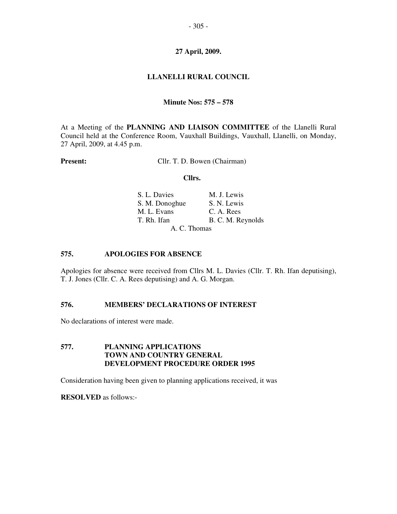## **27 April, 2009.**

# **LLANELLI RURAL COUNCIL**

#### **Minute Nos: 575 – 578**

At a Meeting of the **PLANNING AND LIAISON COMMITTEE** of the Llanelli Rural Council held at the Conference Room, Vauxhall Buildings, Vauxhall, Llanelli, on Monday, 27 April, 2009, at 4.45 p.m.

**Present:** Cllr. T. D. Bowen (Chairman)

#### **Cllrs.**

| S. L. Davies   | M. J. Lewis       |  |
|----------------|-------------------|--|
| S. M. Donoghue | S. N. Lewis       |  |
| M. L. Evans    | C. A. Rees        |  |
| T. Rh. Ifan    | B. C. M. Reynolds |  |
|                | A. C. Thomas      |  |

## **575. APOLOGIES FOR ABSENCE**

Apologies for absence were received from Cllrs M. L. Davies (Cllr. T. Rh. Ifan deputising), T. J. Jones (Cllr. C. A. Rees deputising) and A. G. Morgan.

## **576. MEMBERS' DECLARATIONS OF INTEREST**

No declarations of interest were made.

# **577. PLANNING APPLICATIONS TOWN AND COUNTRY GENERAL DEVELOPMENT PROCEDURE ORDER 1995**

Consideration having been given to planning applications received, it was

**RESOLVED** as follows:-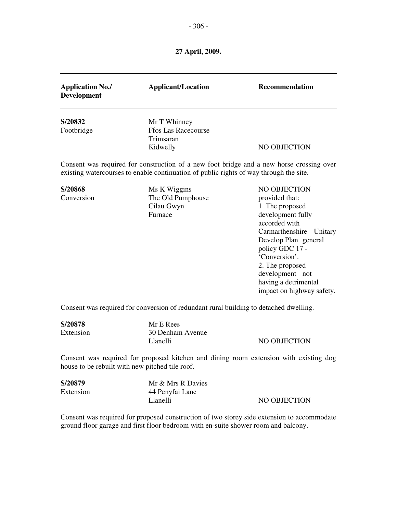- 306 -

**27 April, 2009.** 

| <b>Application No./</b><br><b>Development</b>   | <b>Applicant/Location</b>                                                                          | Recommendation                                                                                                                                                                                                                                                                   |
|-------------------------------------------------|----------------------------------------------------------------------------------------------------|----------------------------------------------------------------------------------------------------------------------------------------------------------------------------------------------------------------------------------------------------------------------------------|
| S/20832<br>Footbridge                           | Mr T Whinney<br><b>Ffos Las Racecourse</b><br>Trimsaran                                            |                                                                                                                                                                                                                                                                                  |
|                                                 | Kidwelly<br>existing watercourses to enable continuation of public rights of way through the site. | NO OBJECTION<br>Consent was required for construction of a new foot bridge and a new horse crossing over                                                                                                                                                                         |
| S/20868<br>Conversion                           | Ms K Wiggins<br>The Old Pumphouse<br>Cilau Gwyn<br>Furnace                                         | <b>NO OBJECTION</b><br>provided that:<br>1. The proposed<br>development fully<br>accorded with<br>Carmarthenshire Unitary<br>Develop Plan general<br>policy GDC 17 -<br>'Conversion'.<br>2. The proposed<br>development not<br>having a detrimental<br>impact on highway safety. |
|                                                 | Consent was required for conversion of redundant rural building to detached dwelling.              |                                                                                                                                                                                                                                                                                  |
| S/20878<br>Extension                            | Mr E Rees<br>30 Denham Avenue<br>Llanelli                                                          | <b>NO OBJECTION</b>                                                                                                                                                                                                                                                              |
| house to be rebuilt with new pitched tile roof. |                                                                                                    | Consent was required for proposed kitchen and dining room extension with existing dog                                                                                                                                                                                            |
| C/20070                                         | $M_{\odot}$ $\theta$ $M_{\odot}$ $\theta$ $D_{\odot}$ $D_{\odot}$                                  |                                                                                                                                                                                                                                                                                  |

| S/20879   | Mr & Mrs R Davies |              |
|-----------|-------------------|--------------|
| Extension | 44 Penyfai Lane   |              |
|           | Llanelli          | NO OBJECTION |

Consent was required for proposed construction of two storey side extension to accommodate ground floor garage and first floor bedroom with en-suite shower room and balcony.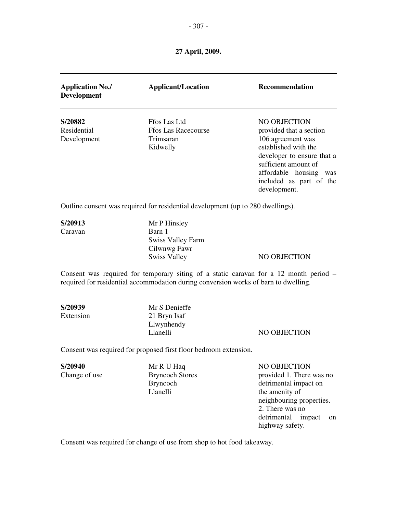**27 April, 2009.** 

| <b>Application No./</b><br><b>Development</b> | <b>Applicant/Location</b>                                                                                                                                                    | <b>Recommendation</b>                                                                                                                                                                                           |
|-----------------------------------------------|------------------------------------------------------------------------------------------------------------------------------------------------------------------------------|-----------------------------------------------------------------------------------------------------------------------------------------------------------------------------------------------------------------|
| S/20882<br>Residential<br>Development         | Ffos Las Ltd<br><b>Ffos Las Racecourse</b><br>Trimsaran<br>Kidwelly                                                                                                          | NO OBJECTION<br>provided that a section<br>106 agreement was<br>established with the<br>developer to ensure that a<br>sufficient amount of<br>affordable housing was<br>included as part of the<br>development. |
|                                               | Outline consent was required for residential development (up to 280 dwellings).                                                                                              |                                                                                                                                                                                                                 |
| S/20913<br>Caravan                            | Mr P Hinsley<br>Barn 1<br><b>Swiss Valley Farm</b><br>Cilwnwg Fawr<br><b>Swiss Valley</b>                                                                                    | <b>NO OBJECTION</b>                                                                                                                                                                                             |
|                                               | Consent was required for temporary siting of a static caravan for a 12 month period -<br>required for residential accommodation during conversion works of barn to dwelling. |                                                                                                                                                                                                                 |
| S/20939<br>Extension                          | Mr S Denieffe<br>21 Bryn Isaf<br>Llwynhendy<br>Llanelli                                                                                                                      | NO OBJECTION                                                                                                                                                                                                    |
|                                               | Consent was required for proposed first floor bedroom extension.                                                                                                             |                                                                                                                                                                                                                 |
| S/20940<br>Change of use                      | Mr R U Haq<br><b>Bryncoch Stores</b><br><b>Bryncoch</b><br>Llanelli                                                                                                          | NO OBJECTION<br>provided 1. There was no<br>detrimental impact on<br>the amenity of<br>neighbouring properties.<br>2. There was no                                                                              |

detrimental impact on

highway safety.

Consent was required for change of use from shop to hot food takeaway.